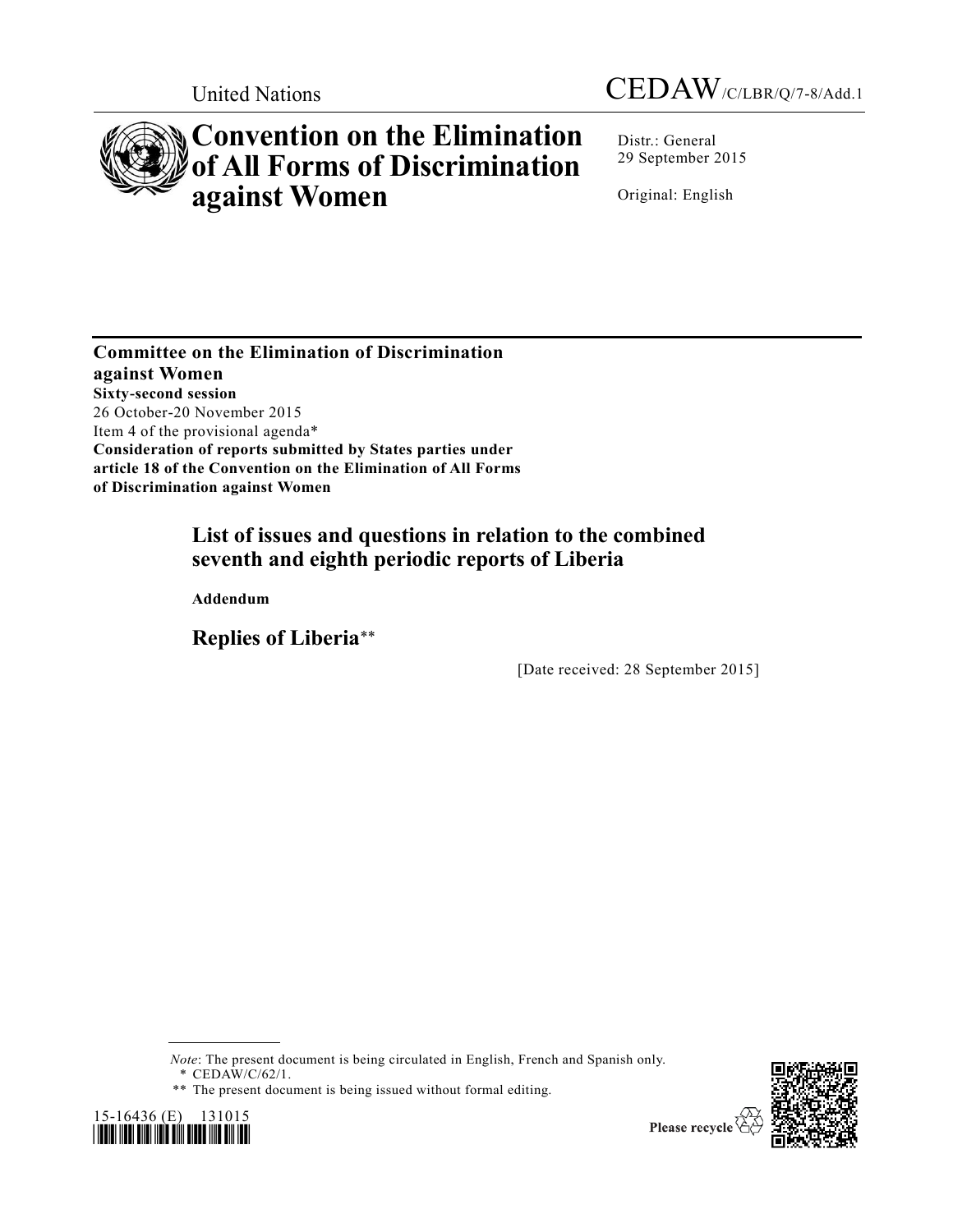



# **Convention on the Elimination of All Forms of Discrimination against Women**

Distr.: General 29 September 2015

Original: English

**Committee on the Elimination of Discrimination against Women Sixty-second session** 26 October-20 November 2015 Item 4 of the provisional agenda\* **Consideration of reports submitted by States parties under article 18 of the Convention on the Elimination of All Forms of Discrimination against Women**

# **List of issues and questions in relation to the combined seventh and eighth periodic reports of Liberia**

**Addendum**

**Replies of Liberia**\*\*

[Date received: 28 September 2015]

<sup>\*\*</sup> The present document is being issued without formal editing.







*Note*: The present document is being circulated in English, French and Spanish only. \* [CEDAW/C/62/1.](http://undocs.org/CEDAW/C/62/1)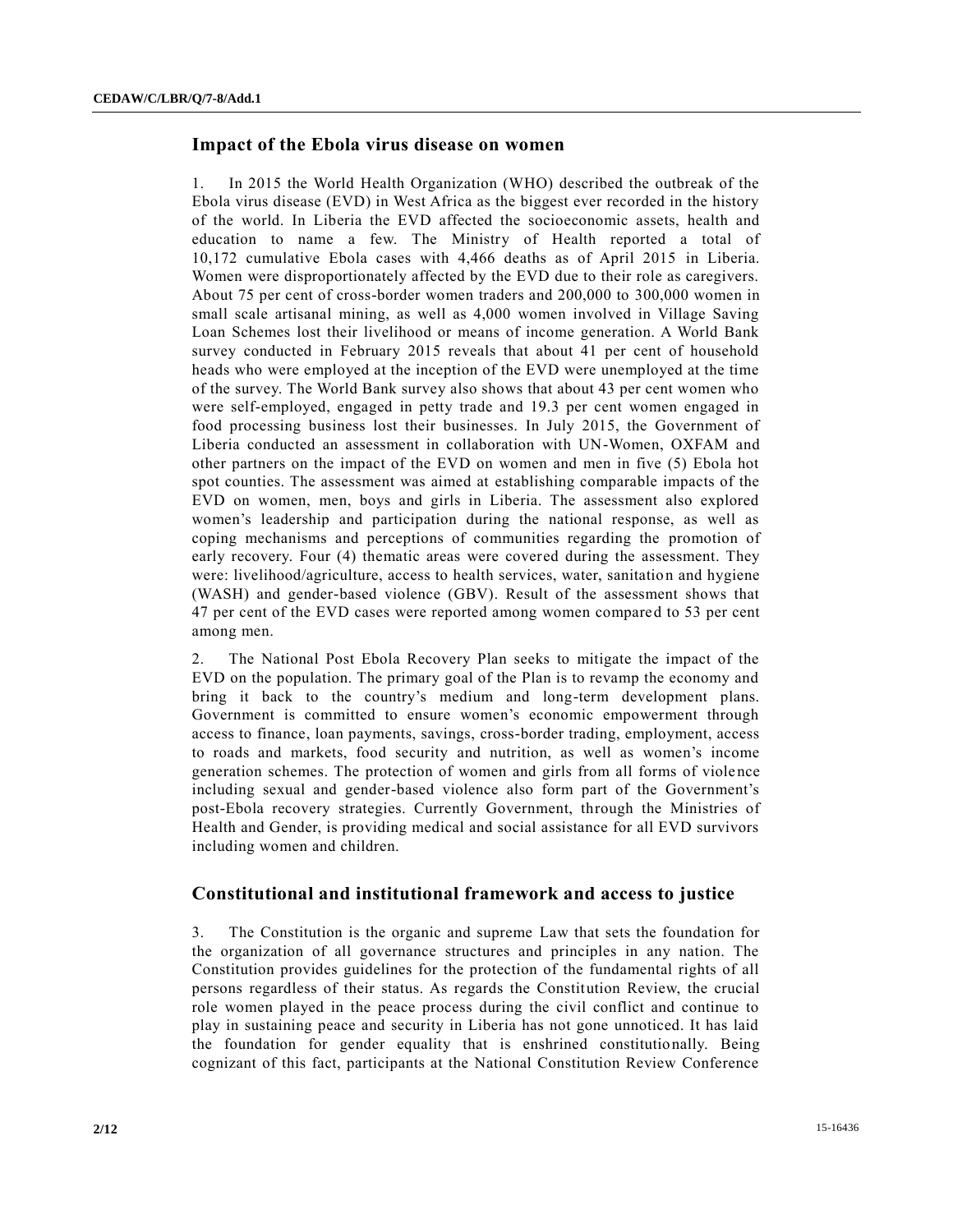#### **Impact of the Ebola virus disease on women**

1. In 2015 the World Health Organization (WHO) described the outbreak of the Ebola virus disease (EVD) in West Africa as the biggest ever recorded in the history of the world. In Liberia the EVD affected the socioeconomic assets, health and education to name a few. The Ministry of Health reported a total of 10,172 cumulative Ebola cases with 4,466 deaths as of April 2015 in Liberia. Women were disproportionately affected by the EVD due to their role as caregivers. About 75 per cent of cross-border women traders and 200,000 to 300,000 women in small scale artisanal mining, as well as 4,000 women involved in Village Saving Loan Schemes lost their livelihood or means of income generation. A World Bank survey conducted in February 2015 reveals that about 41 per cent of household heads who were employed at the inception of the EVD were unemployed at the time of the survey. The World Bank survey also shows that about 43 per cent women who were self-employed, engaged in petty trade and 19.3 per cent women engaged in food processing business lost their businesses. In July 2015, the Government of Liberia conducted an assessment in collaboration with UN-Women, OXFAM and other partners on the impact of the EVD on women and men in five (5) Ebola hot spot counties. The assessment was aimed at establishing comparable impacts of the EVD on women, men, boys and girls in Liberia. The assessment also explored women's leadership and participation during the national response, as well as coping mechanisms and perceptions of communities regarding the promotion of early recovery. Four (4) thematic areas were covered during the assessment. They were: livelihood/agriculture, access to health services, water, sanitation and hygiene (WASH) and gender-based violence (GBV). Result of the assessment shows that 47 per cent of the EVD cases were reported among women compared to 53 per cent among men.

2. The National Post Ebola Recovery Plan seeks to mitigate the impact of the EVD on the population. The primary goal of the Plan is to revamp the economy and bring it back to the country's medium and long-term development plans. Government is committed to ensure women's economic empowerment through access to finance, loan payments, savings, cross-border trading, employment, access to roads and markets, food security and nutrition, as well as women's income generation schemes. The protection of women and girls from all forms of viole nce including sexual and gender-based violence also form part of the Government's post-Ebola recovery strategies. Currently Government, through the Ministries of Health and Gender, is providing medical and social assistance for all EVD survivors including women and children.

#### **Constitutional and institutional framework and access to justice**

3. The Constitution is the organic and supreme Law that sets the foundation for the organization of all governance structures and principles in any nation. The Constitution provides guidelines for the protection of the fundamental rights of all persons regardless of their status. As regards the Constitution Review, the crucial role women played in the peace process during the civil conflict and continue to play in sustaining peace and security in Liberia has not gone unnoticed. It has laid the foundation for gender equality that is enshrined constitutionally. Being cognizant of this fact, participants at the National Constitution Review Conference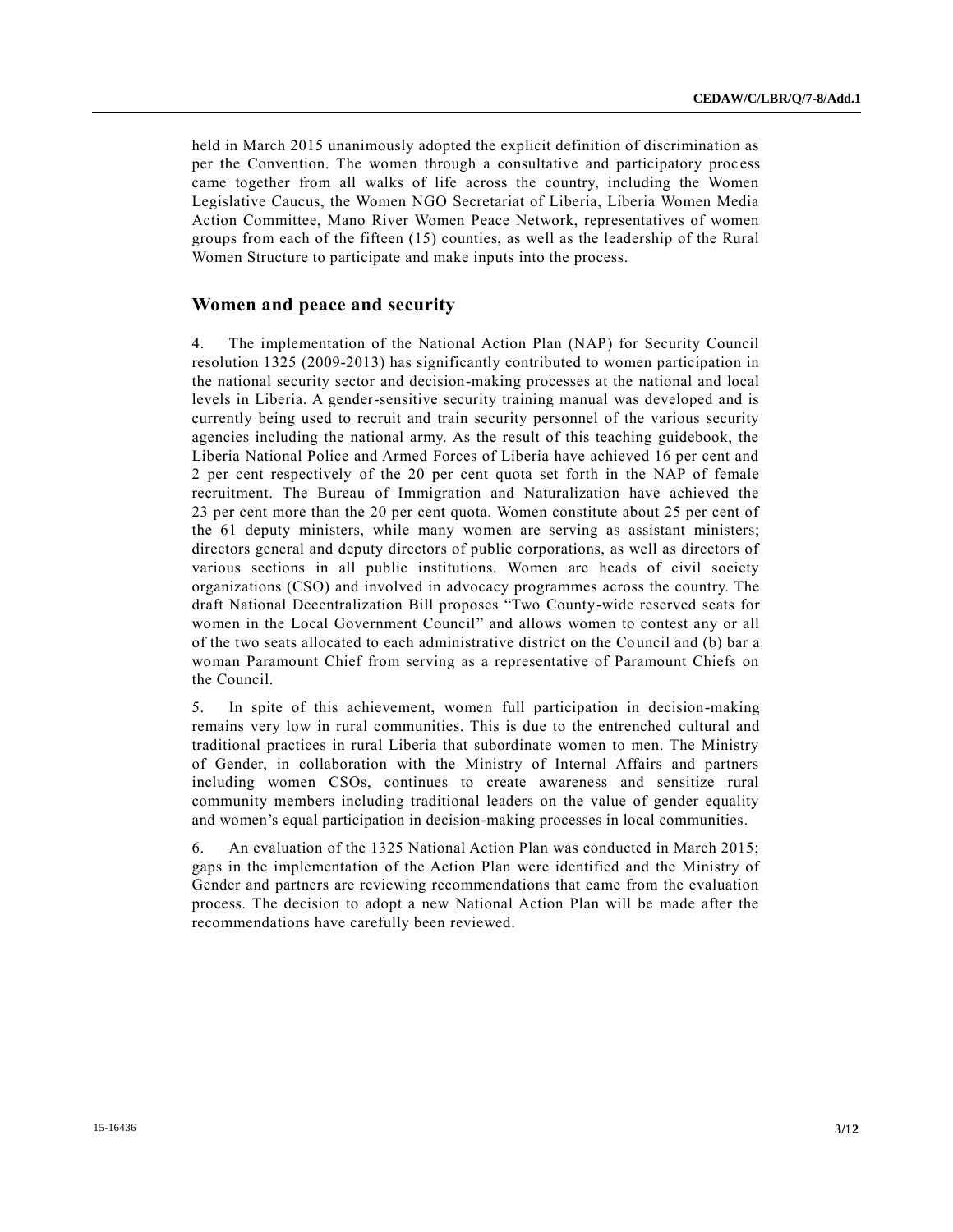held in March 2015 unanimously adopted the explicit definition of discrimination as per the Convention. The women through a consultative and participatory proc ess came together from all walks of life across the country, including the Women Legislative Caucus, the Women NGO Secretariat of Liberia, Liberia Women Media Action Committee, Mano River Women Peace Network, representatives of women groups from each of the fifteen (15) counties, as well as the leadership of the Rural Women Structure to participate and make inputs into the process.

#### **Women and peace and security**

4. The implementation of the National Action Plan (NAP) for Security Council resolution 1325 (2009-2013) has significantly contributed to women participation in the national security sector and decision-making processes at the national and local levels in Liberia. A gender-sensitive security training manual was developed and is currently being used to recruit and train security personnel of the various security agencies including the national army. As the result of this teaching guidebook, the Liberia National Police and Armed Forces of Liberia have achieved 16 per cent and 2 per cent respectively of the 20 per cent quota set forth in the NAP of female recruitment. The Bureau of Immigration and Naturalization have achieved the 23 per cent more than the 20 per cent quota. Women constitute about 25 per cent of the 61 deputy ministers, while many women are serving as assistant ministers; directors general and deputy directors of public corporations, as well as directors of various sections in all public institutions. Women are heads of civil society organizations (CSO) and involved in advocacy programmes across the country. The draft National Decentralization Bill proposes "Two County-wide reserved seats for women in the Local Government Council" and allows women to contest any or all of the two seats allocated to each administrative district on the Council and (b) bar a woman Paramount Chief from serving as a representative of Paramount Chiefs on the Council.

5. In spite of this achievement, women full participation in decision-making remains very low in rural communities. This is due to the entrenched cultural and traditional practices in rural Liberia that subordinate women to men. The Ministry of Gender, in collaboration with the Ministry of Internal Affairs and partners including women CSOs, continues to create awareness and sensitize rural community members including traditional leaders on the value of gender equality and women's equal participation in decision-making processes in local communities.

6. An evaluation of the 1325 National Action Plan was conducted in March 2015; gaps in the implementation of the Action Plan were identified and the Ministry of Gender and partners are reviewing recommendations that came from the evaluation process. The decision to adopt a new National Action Plan will be made after the recommendations have carefully been reviewed.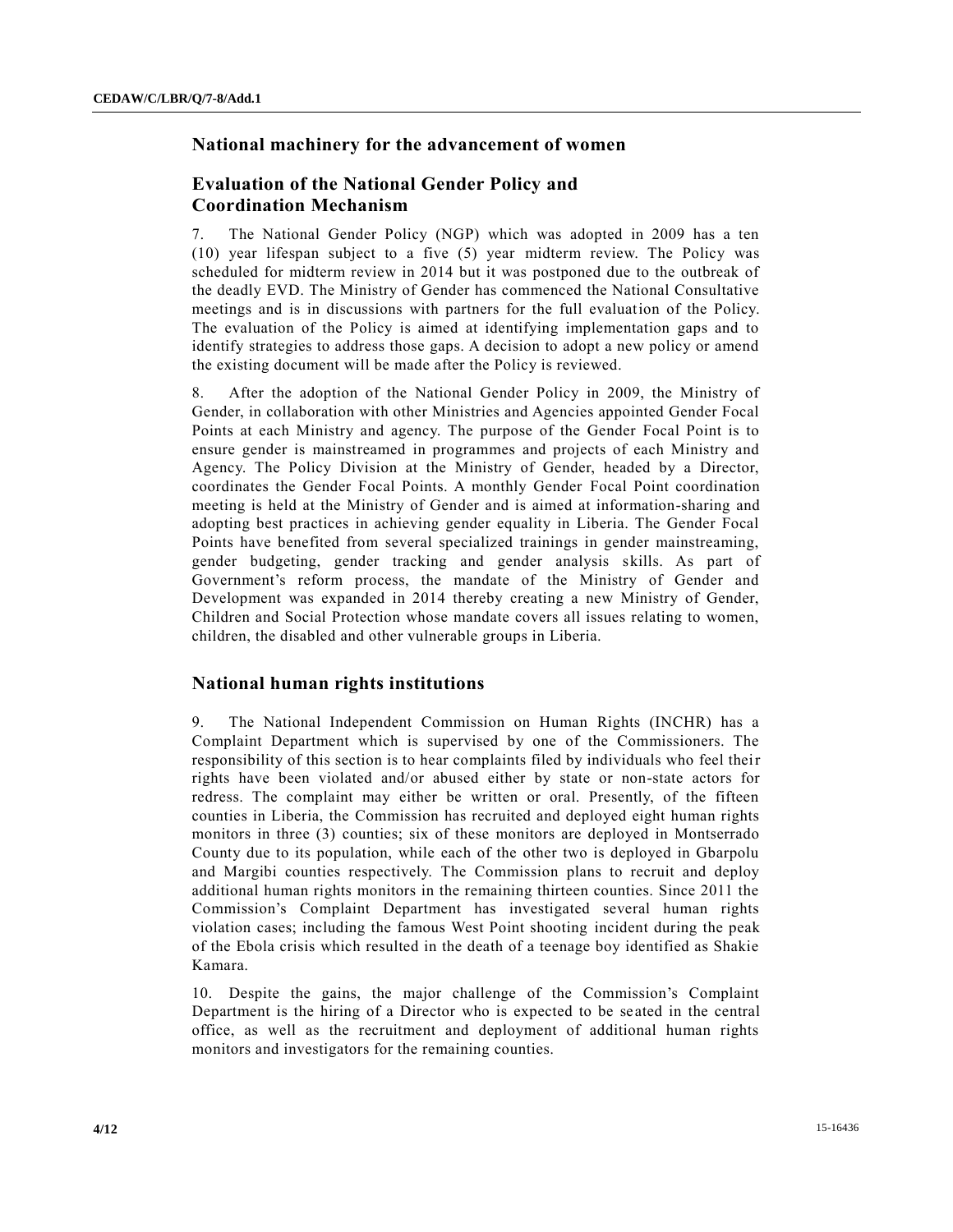#### **National machinery for the advancement of women**

# **Evaluation of the National Gender Policy and Coordination Mechanism**

7. The National Gender Policy (NGP) which was adopted in 2009 has a ten (10) year lifespan subject to a five (5) year midterm review. The Policy was scheduled for midterm review in 2014 but it was postponed due to the outbreak of the deadly EVD. The Ministry of Gender has commenced the National Consultative meetings and is in discussions with partners for the full evaluation of the Policy. The evaluation of the Policy is aimed at identifying implementation gaps and to identify strategies to address those gaps. A decision to adopt a new policy or amend the existing document will be made after the Policy is reviewed.

8. After the adoption of the National Gender Policy in 2009, the Ministry of Gender, in collaboration with other Ministries and Agencies appointed Gender Focal Points at each Ministry and agency. The purpose of the Gender Focal Point is to ensure gender is mainstreamed in programmes and projects of each Ministry and Agency. The Policy Division at the Ministry of Gender, headed by a Director, coordinates the Gender Focal Points. A monthly Gender Focal Point coordination meeting is held at the Ministry of Gender and is aimed at information-sharing and adopting best practices in achieving gender equality in Liberia. The Gender Focal Points have benefited from several specialized trainings in gender mainstreaming, gender budgeting, gender tracking and gender analysis skills. As part of Government's reform process, the mandate of the Ministry of Gender and Development was expanded in 2014 thereby creating a new Ministry of Gender, Children and Social Protection whose mandate covers all issues relating to women, children, the disabled and other vulnerable groups in Liberia.

#### **National human rights institutions**

9. The National Independent Commission on Human Rights (INCHR) has a Complaint Department which is supervised by one of the Commissioners. The responsibility of this section is to hear complaints filed by individuals who feel their rights have been violated and/or abused either by state or non-state actors for redress. The complaint may either be written or oral. Presently, of the fifteen counties in Liberia, the Commission has recruited and deployed eight human rights monitors in three (3) counties; six of these monitors are deployed in Montserrado County due to its population, while each of the other two is deployed in Gbarpolu and Margibi counties respectively. The Commission plans to recruit and deploy additional human rights monitors in the remaining thirteen counties. Since 2011 the Commission's Complaint Department has investigated several human rights violation cases; including the famous West Point shooting incident during the peak of the Ebola crisis which resulted in the death of a teenage boy identified as Shakie Kamara.

10. Despite the gains, the major challenge of the Commission's Complaint Department is the hiring of a Director who is expected to be seated in the central office, as well as the recruitment and deployment of additional human rights monitors and investigators for the remaining counties.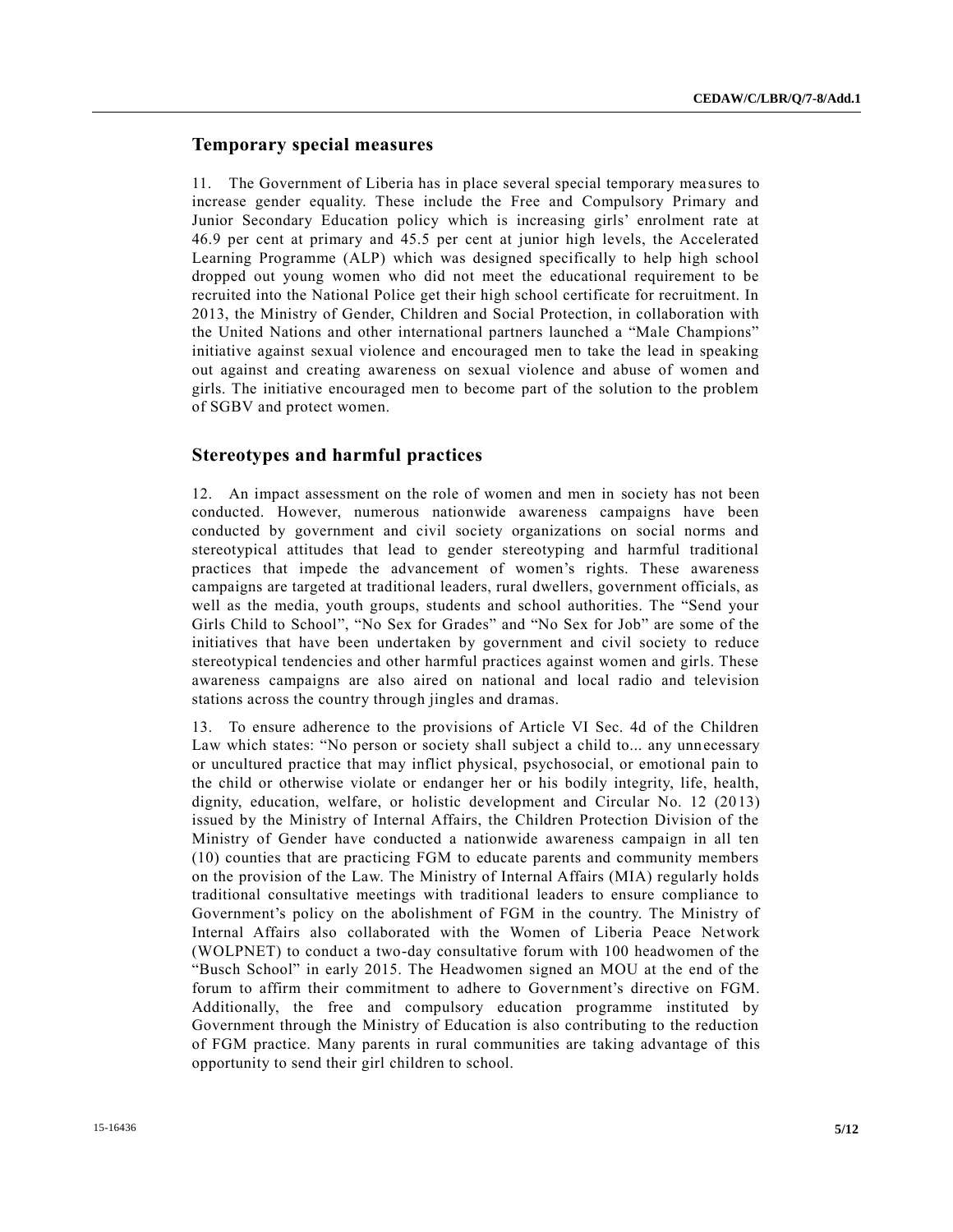# **Temporary special measures**

11. The Government of Liberia has in place several special temporary mea sures to increase gender equality. These include the Free and Compulsory Primary and Junior Secondary Education policy which is increasing girls' enrolment rate at 46.9 per cent at primary and 45.5 per cent at junior high levels, the Accelerated Learning Programme (ALP) which was designed specifically to help high school dropped out young women who did not meet the educational requirement to be recruited into the National Police get their high school certificate for recruitment. In 2013, the Ministry of Gender, Children and Social Protection, in collaboration with the United Nations and other international partners launched a "Male Champions" initiative against sexual violence and encouraged men to take the lead in speaking out against and creating awareness on sexual violence and abuse of women and girls. The initiative encouraged men to become part of the solution to the problem of SGBV and protect women.

#### **Stereotypes and harmful practices**

12. An impact assessment on the role of women and men in society has not been conducted. However, numerous nationwide awareness campaigns have been conducted by government and civil society organizations on social norms and stereotypical attitudes that lead to gender stereotyping and harmful traditional practices that impede the advancement of women's rights. These awareness campaigns are targeted at traditional leaders, rural dwellers, government officials, as well as the media, youth groups, students and school authorities. The "Send your Girls Child to School", "No Sex for Grades" and "No Sex for Job" are some of the initiatives that have been undertaken by government and civil society to reduce stereotypical tendencies and other harmful practices against women and girls. These awareness campaigns are also aired on national and local radio and television stations across the country through jingles and dramas.

13. To ensure adherence to the provisions of Article VI Sec. 4d of the Children Law which states: "No person or society shall subject a child to... any unnecessary or uncultured practice that may inflict physical, psychosocial, or emotional pain to the child or otherwise violate or endanger her or his bodily integrity, life, health, dignity, education, welfare, or holistic development and Circular No. 12 (2013) issued by the Ministry of Internal Affairs, the Children Protection Division of the Ministry of Gender have conducted a nationwide awareness campaign in all ten (10) counties that are practicing FGM to educate parents and community members on the provision of the Law. The Ministry of Internal Affairs (MIA) regularly holds traditional consultative meetings with traditional leaders to ensure compliance to Government's policy on the abolishment of FGM in the country. The Ministry of Internal Affairs also collaborated with the Women of Liberia Peace Network (WOLPNET) to conduct a two-day consultative forum with 100 headwomen of the "Busch School" in early 2015. The Headwomen signed an MOU at the end of the forum to affirm their commitment to adhere to Government's directive on FGM. Additionally, the free and compulsory education programme instituted by Government through the Ministry of Education is also contributing to the reduction of FGM practice. Many parents in rural communities are taking advantage of this opportunity to send their girl children to school.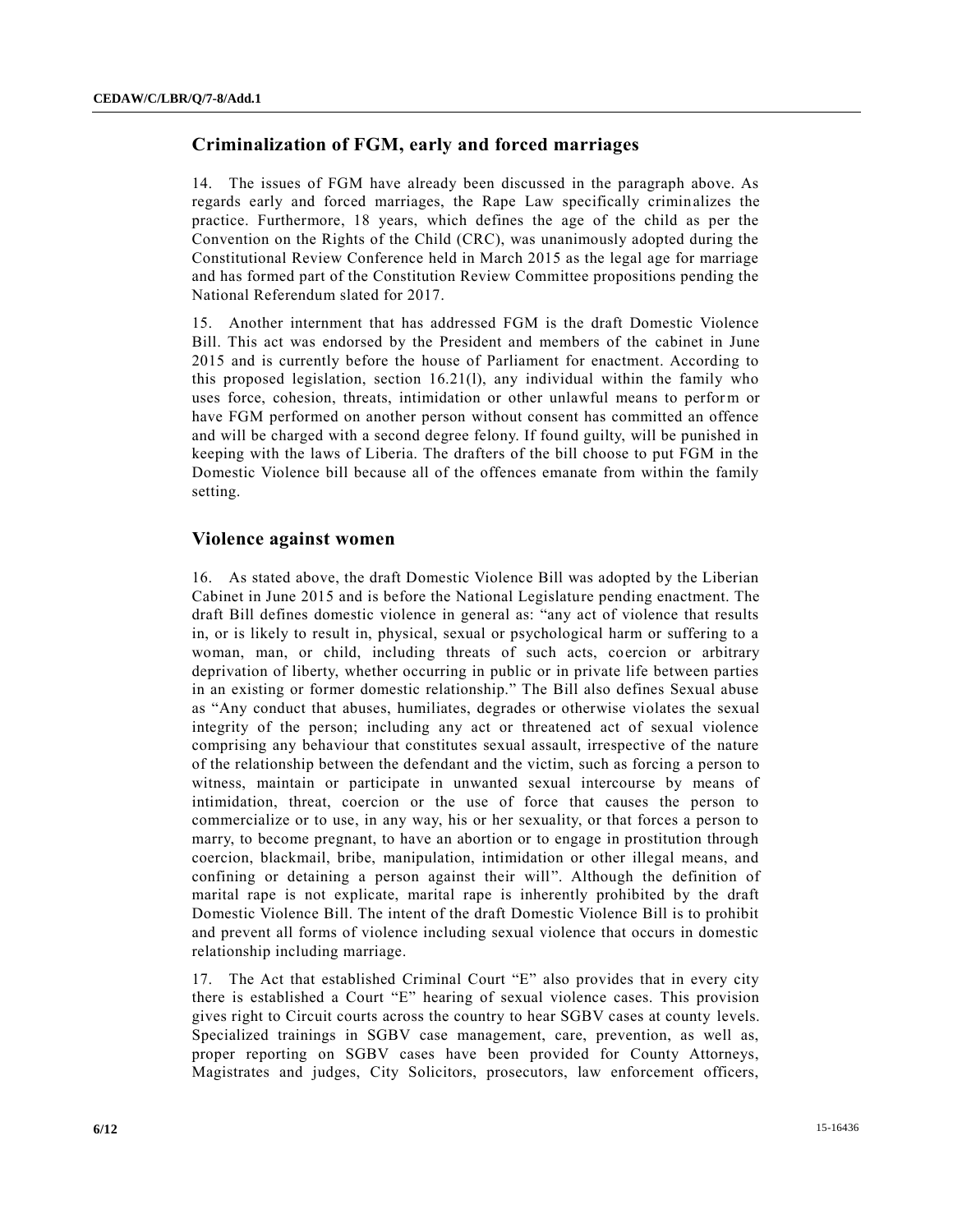## **Criminalization of FGM, early and forced marriages**

14. The issues of FGM have already been discussed in the paragraph above. As regards early and forced marriages, the Rape Law specifically criminalizes the practice. Furthermore, 18 years, which defines the age of the child as per the Convention on the Rights of the Child (CRC), was unanimously adopted during the Constitutional Review Conference held in March 2015 as the legal age for marriage and has formed part of the Constitution Review Committee propositions pending the National Referendum slated for 2017.

15. Another internment that has addressed FGM is the draft Domestic Violence Bill. This act was endorsed by the President and members of the cabinet in June 2015 and is currently before the house of Parliament for enactment. According to this proposed legislation, section 16.21(l), any individual within the family who uses force, cohesion, threats, intimidation or other unlawful means to perform or have FGM performed on another person without consent has committed an offence and will be charged with a second degree felony. If found guilty, will be punished in keeping with the laws of Liberia. The drafters of the bill choose to put FGM in the Domestic Violence bill because all of the offences emanate from within the family setting.

#### **Violence against women**

16. As stated above, the draft Domestic Violence Bill was adopted by the Liberian Cabinet in June 2015 and is before the National Legislature pending enactment. The draft Bill defines domestic violence in general as: "any act of violence that results in, or is likely to result in, physical, sexual or psychological harm or suffering to a woman, man, or child, including threats of such acts, coercion or arbitrary deprivation of liberty, whether occurring in public or in private life between parties in an existing or former domestic relationship." The Bill also defines Sexual abuse as "Any conduct that abuses, humiliates, degrades or otherwise violates the sexual integrity of the person; including any act or threatened act of sexual violence comprising any behaviour that constitutes sexual assault, irrespective of the nature of the relationship between the defendant and the victim, such as forcing a person to witness, maintain or participate in unwanted sexual intercourse by means of intimidation, threat, coercion or the use of force that causes the person to commercialize or to use, in any way, his or her sexuality, or that forces a person to marry, to become pregnant, to have an abortion or to engage in prostitution through coercion, blackmail, bribe, manipulation, intimidation or other illegal means, and confining or detaining a person against their will". Although the definition of marital rape is not explicate, marital rape is inherently prohibited by the draft Domestic Violence Bill. The intent of the draft Domestic Violence Bill is to prohibit and prevent all forms of violence including sexual violence that occurs in domestic relationship including marriage.

17. The Act that established Criminal Court "E" also provides that in every city there is established a Court "E" hearing of sexual violence cases. This provision gives right to Circuit courts across the country to hear SGBV cases at county levels. Specialized trainings in SGBV case management, care, prevention, as well as, proper reporting on SGBV cases have been provided for County Attorneys, Magistrates and judges, City Solicitors, prosecutors, law enforcement officers,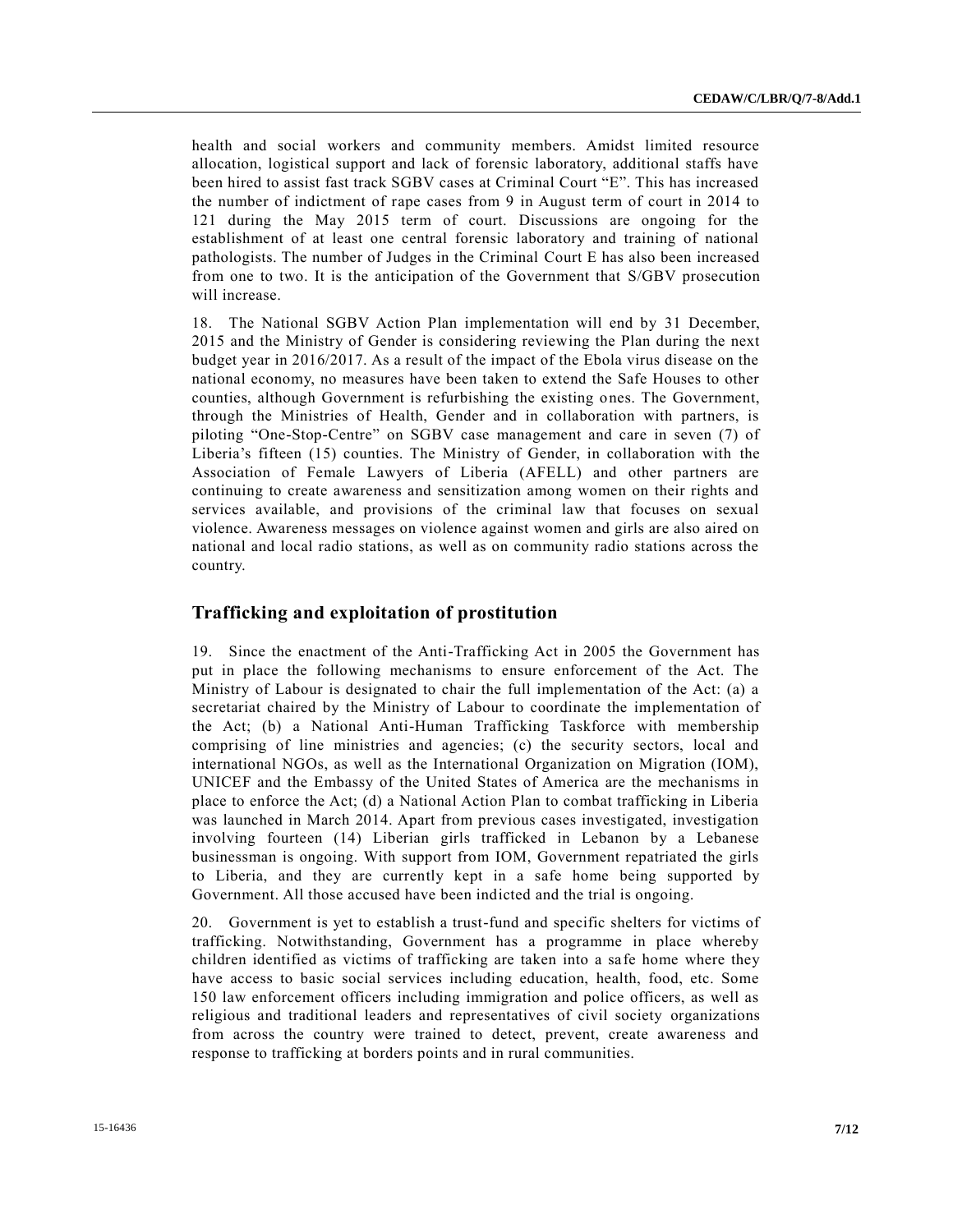health and social workers and community members. Amidst limited resource allocation, logistical support and lack of forensic laboratory, additional staffs have been hired to assist fast track SGBV cases at Criminal Court "E". This has increased the number of indictment of rape cases from 9 in August term of court in 2014 to 121 during the May 2015 term of court. Discussions are ongoing for the establishment of at least one central forensic laboratory and training of national pathologists. The number of Judges in the Criminal Court E has also been increased from one to two. It is the anticipation of the Government that S/GBV prosecution will increase.

18. The National SGBV Action Plan implementation will end by 31 December, 2015 and the Ministry of Gender is considering reviewing the Plan during the next budget year in 2016/2017. As a result of the impact of the Ebola virus disease on the national economy, no measures have been taken to extend the Safe Houses to other counties, although Government is refurbishing the existing ones. The Government, through the Ministries of Health, Gender and in collaboration with partners, is piloting "One-Stop-Centre" on SGBV case management and care in seven (7) of Liberia's fifteen (15) counties. The Ministry of Gender, in collaboration with the Association of Female Lawyers of Liberia (AFELL) and other partners are continuing to create awareness and sensitization among women on their rights and services available, and provisions of the criminal law that focuses on sexual violence. Awareness messages on violence against women and girls are also aired on national and local radio stations, as well as on community radio stations across the country.

#### **Trafficking and exploitation of prostitution**

19. Since the enactment of the Anti-Trafficking Act in 2005 the Government has put in place the following mechanisms to ensure enforcement of the Act. The Ministry of Labour is designated to chair the full implementation of the Act: (a) a secretariat chaired by the Ministry of Labour to coordinate the implementation of the Act; (b) a National Anti-Human Trafficking Taskforce with membership comprising of line ministries and agencies; (c) the security sectors, local and international NGOs, as well as the International Organization on Migration (IOM), UNICEF and the Embassy of the United States of America are the mechanisms in place to enforce the Act; (d) a National Action Plan to combat trafficking in Liberia was launched in March 2014. Apart from previous cases investigated, investigation involving fourteen (14) Liberian girls trafficked in Lebanon by a Lebanese businessman is ongoing. With support from IOM, Government repatriated the girls to Liberia, and they are currently kept in a safe home being supported by Government. All those accused have been indicted and the trial is ongoing.

20. Government is yet to establish a trust-fund and specific shelters for victims of trafficking. Notwithstanding, Government has a programme in place whereby children identified as victims of trafficking are taken into a safe home where they have access to basic social services including education, health, food, etc. Some 150 law enforcement officers including immigration and police officers, as well as religious and traditional leaders and representatives of civil society organizations from across the country were trained to detect, prevent, create awareness and response to trafficking at borders points and in rural communities.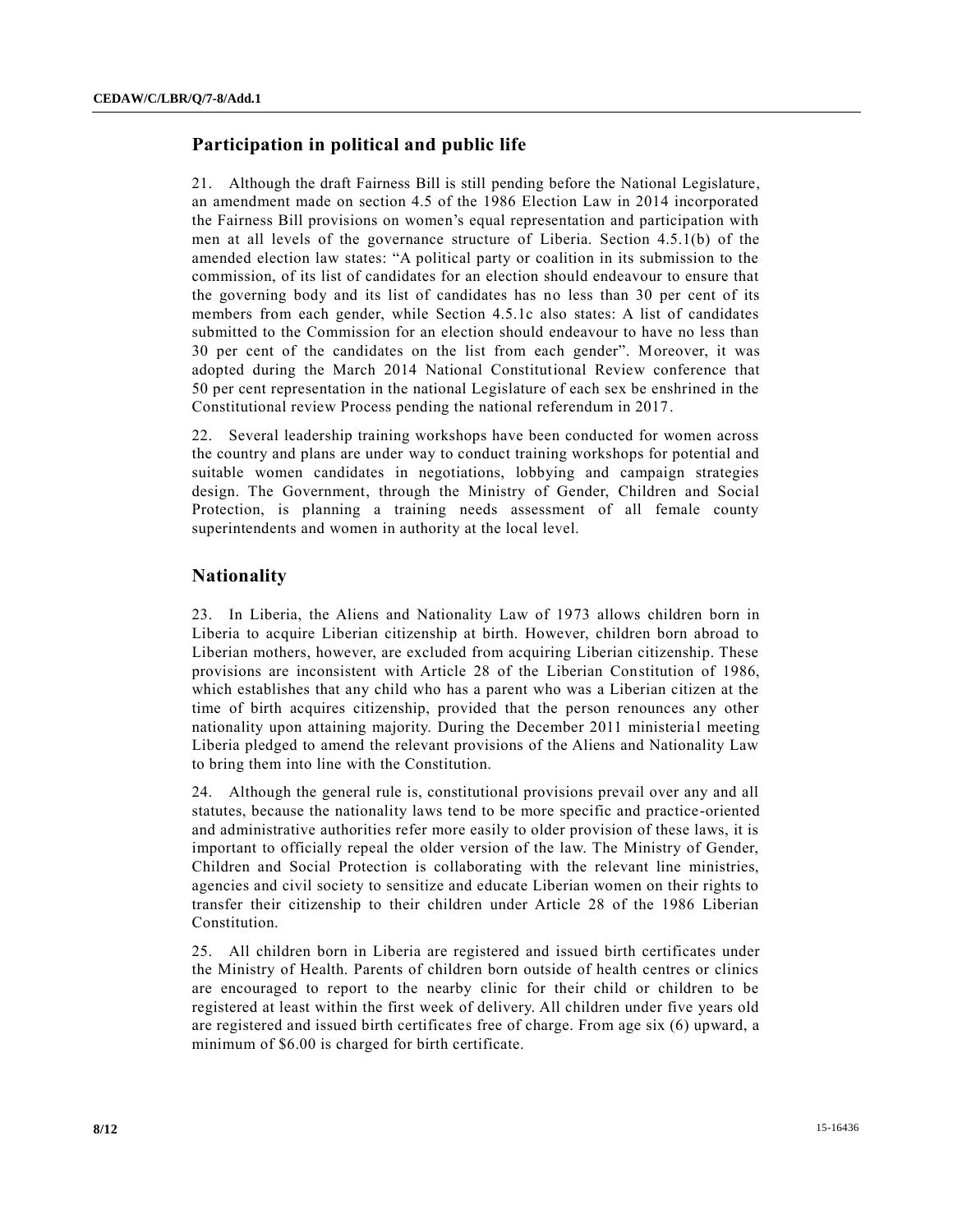# **Participation in political and public life**

21. Although the draft Fairness Bill is still pending before the National Legislature, an amendment made on section 4.5 of the 1986 Election Law in 2014 incorporated the Fairness Bill provisions on women's equal representation and participation with men at all levels of the governance structure of Liberia. Section 4.5.1(b) of the amended election law states: "A political party or coalition in its submission to the commission, of its list of candidates for an election should endeavour to ensure that the governing body and its list of candidates has no less than 30 per cent of its members from each gender, while Section 4.5.1c also states: A list of candidates submitted to the Commission for an election should endeavour to have no less than 30 per cent of the candidates on the list from each gender". Moreover, it was adopted during the March 2014 National Constitutional Review conference that 50 per cent representation in the national Legislature of each sex be enshrined in the Constitutional review Process pending the national referendum in 2017.

22. Several leadership training workshops have been conducted for women across the country and plans are under way to conduct training workshops for potential and suitable women candidates in negotiations, lobbying and campaign strategies design. The Government, through the Ministry of Gender, Children and Social Protection, is planning a training needs assessment of all female county superintendents and women in authority at the local level.

#### **Nationality**

23. In Liberia, the Aliens and Nationality Law of 1973 allows children born in Liberia to acquire Liberian citizenship at birth. However, children born abroad to Liberian mothers, however, are excluded from acquiring Liberian citizenship. These provisions are inconsistent with Article 28 of the Liberian Constitution of 1986, which establishes that any child who has a parent who was a Liberian citizen at the time of birth acquires citizenship, provided that the person renounces any other nationality upon attaining majority. During the December 2011 ministerial meeting Liberia pledged to amend the relevant provisions of the Aliens and Nationality Law to bring them into line with the Constitution.

24. Although the general rule is, constitutional provisions prevail over any and all statutes, because the nationality laws tend to be more specific and practice-oriented and administrative authorities refer more easily to older provision of these laws, it is important to officially repeal the older version of the law. The Ministry of Gender, Children and Social Protection is collaborating with the relevant line ministries, agencies and civil society to sensitize and educate Liberian women on their rights to transfer their citizenship to their children under Article 28 of the 1986 Liberian Constitution.

25. All children born in Liberia are registered and issued birth certificates under the Ministry of Health. Parents of children born outside of health centres or clinics are encouraged to report to the nearby clinic for their child or children to be registered at least within the first week of delivery. All children under five years old are registered and issued birth certificates free of charge. From age six (6) upward, a minimum of \$6.00 is charged for birth certificate.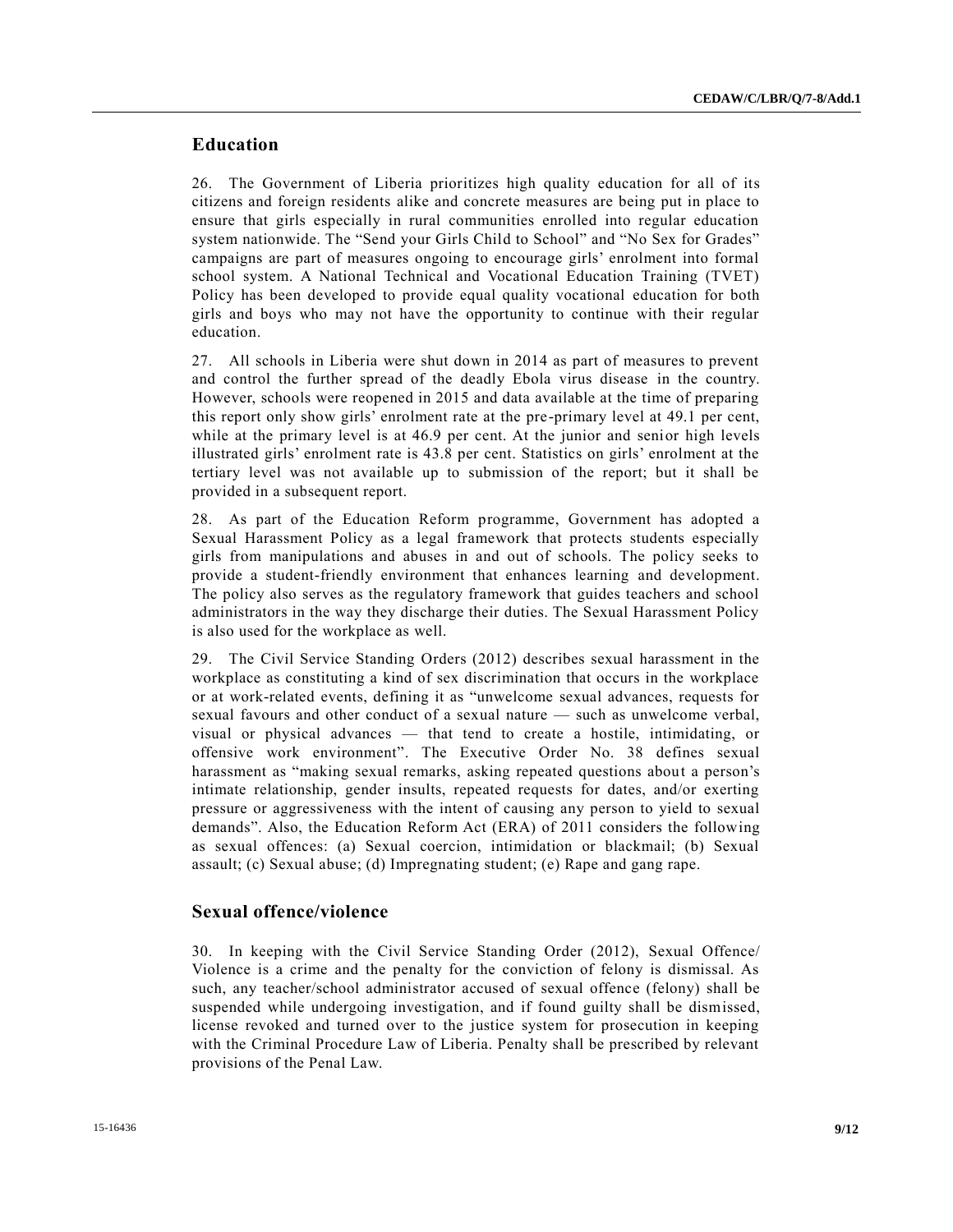### **Education**

26. The Government of Liberia prioritizes high quality education for all of its citizens and foreign residents alike and concrete measures are being put in place to ensure that girls especially in rural communities enrolled into regular education system nationwide. The "Send your Girls Child to School" and "No Sex for Grades" campaigns are part of measures ongoing to encourage girls' enrolment into formal school system. A National Technical and Vocational Education Training (TVET) Policy has been developed to provide equal quality vocational education for both girls and boys who may not have the opportunity to continue with their regular education.

27. All schools in Liberia were shut down in 2014 as part of measures to prevent and control the further spread of the deadly Ebola virus disease in the country. However, schools were reopened in 2015 and data available at the time of preparing this report only show girls' enrolment rate at the pre-primary level at 49.1 per cent, while at the primary level is at 46.9 per cent. At the junior and senior high levels illustrated girls' enrolment rate is 43.8 per cent. Statistics on girls' enrolment at the tertiary level was not available up to submission of the report; but it shall be provided in a subsequent report.

28. As part of the Education Reform programme, Government has adopted a Sexual Harassment Policy as a legal framework that protects students especially girls from manipulations and abuses in and out of schools. The policy seeks to provide a student-friendly environment that enhances learning and development. The policy also serves as the regulatory framework that guides teachers and school administrators in the way they discharge their duties. The Sexual Harassment Policy is also used for the workplace as well.

29. The Civil Service Standing Orders (2012) describes sexual harassment in the workplace as constituting a kind of sex discrimination that occurs in the workplace or at work-related events, defining it as "unwelcome sexual advances, requests for sexual favours and other conduct of a sexual nature — such as unwelcome verbal, visual or physical advances — that tend to create a hostile, intimidating, or offensive work environment". The Executive Order No. 38 defines sexual harassment as "making sexual remarks, asking repeated questions about a person's intimate relationship, gender insults, repeated requests for dates, and/or exerting pressure or aggressiveness with the intent of causing any person to yield to sexual demands". Also, the Education Reform Act (ERA) of 2011 considers the following as sexual offences: (a) Sexual coercion, intimidation or blackmail; (b) Sexual assault; (c) Sexual abuse; (d) Impregnating student; (e) Rape and gang rape.

#### **Sexual offence/violence**

30. In keeping with the Civil Service Standing Order (2012), Sexual Offence/ Violence is a crime and the penalty for the conviction of felony is dismissal. As such, any teacher/school administrator accused of sexual offence (felony) shall be suspended while undergoing investigation, and if found guilty shall be dismissed, license revoked and turned over to the justice system for prosecution in keeping with the Criminal Procedure Law of Liberia. Penalty shall be prescribed by relevant provisions of the Penal Law.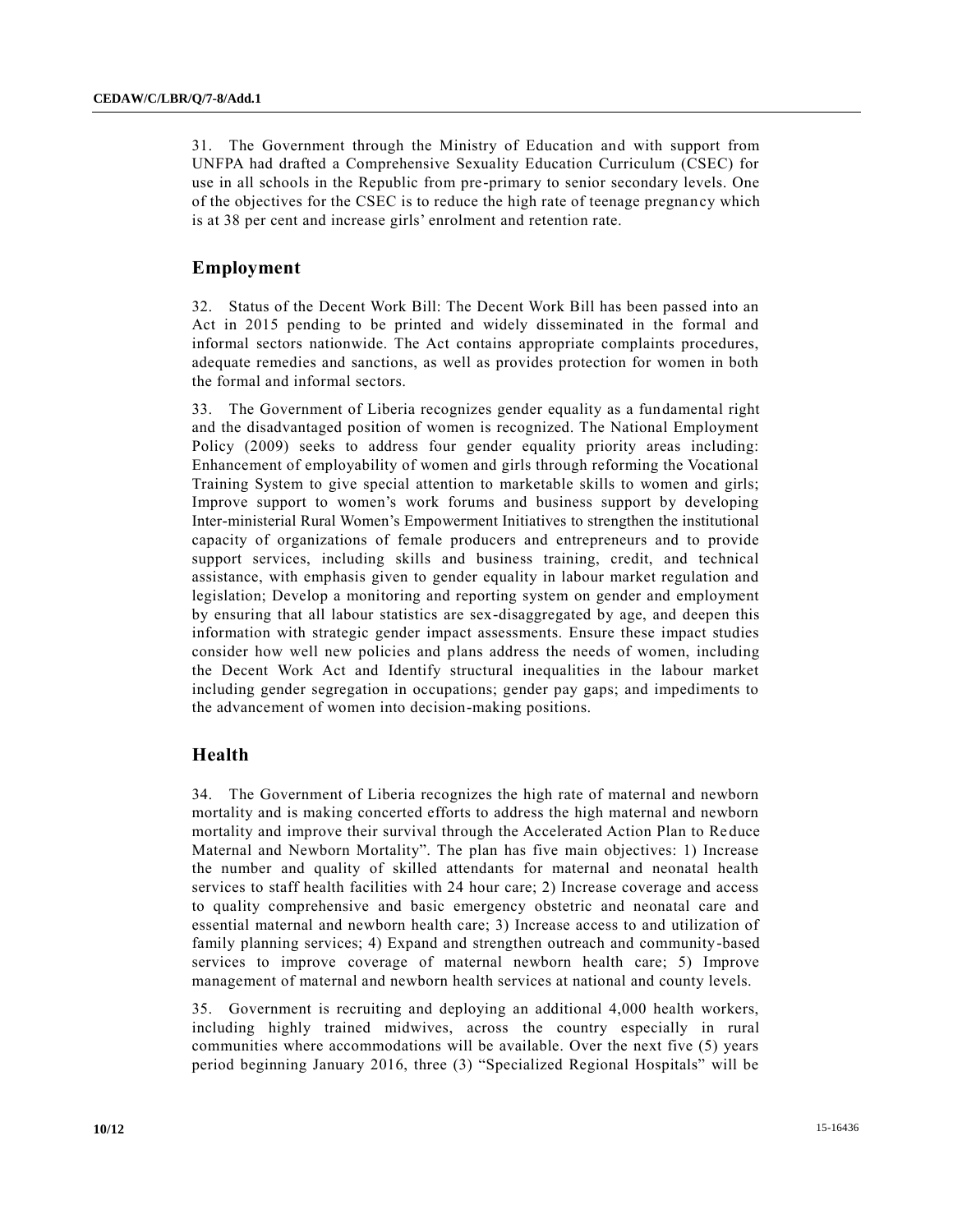31. The Government through the Ministry of Education and with support from UNFPA had drafted a Comprehensive Sexuality Education Curriculum (CSEC) for use in all schools in the Republic from pre-primary to senior secondary levels. One of the objectives for the CSEC is to reduce the high rate of teenage pregnancy which is at 38 per cent and increase girls' enrolment and retention rate.

## **Employment**

32. Status of the Decent Work Bill: The Decent Work Bill has been passed into an Act in 2015 pending to be printed and widely disseminated in the formal and informal sectors nationwide. The Act contains appropriate complaints procedures, adequate remedies and sanctions, as well as provides protection for women in both the formal and informal sectors.

33. The Government of Liberia recognizes gender equality as a fundamental right and the disadvantaged position of women is recognized. The National Employment Policy (2009) seeks to address four gender equality priority areas including: Enhancement of employability of women and girls through reforming the Vocational Training System to give special attention to marketable skills to women and girls; Improve support to women's work forums and business support by developing Inter-ministerial Rural Women's Empowerment Initiatives to strengthen the institutional capacity of organizations of female producers and entrepreneurs and to provide support services, including skills and business training, credit, and technical assistance, with emphasis given to gender equality in labour market regulation and legislation; Develop a monitoring and reporting system on gender and employment by ensuring that all labour statistics are sex-disaggregated by age, and deepen this information with strategic gender impact assessments. Ensure these impact studies consider how well new policies and plans address the needs of women, including the Decent Work Act and Identify structural inequalities in the labour market including gender segregation in occupations; gender pay gaps; and impediments to the advancement of women into decision-making positions.

#### **Health**

34. The Government of Liberia recognizes the high rate of maternal and newborn mortality and is making concerted efforts to address the high maternal and newborn mortality and improve their survival through the Accelerated Action Plan to Re duce Maternal and Newborn Mortality". The plan has five main objectives: 1) Increase the number and quality of skilled attendants for maternal and neonatal health services to staff health facilities with 24 hour care; 2) Increase coverage and access to quality comprehensive and basic emergency obstetric and neonatal care and essential maternal and newborn health care; 3) Increase access to and utilization of family planning services; 4) Expand and strengthen outreach and community-based services to improve coverage of maternal newborn health care; 5) Improve management of maternal and newborn health services at national and county levels.

35. Government is recruiting and deploying an additional 4,000 health workers, including highly trained midwives, across the country especially in rural communities where accommodations will be available. Over the next five (5) years period beginning January 2016, three (3) "Specialized Regional Hospitals" will be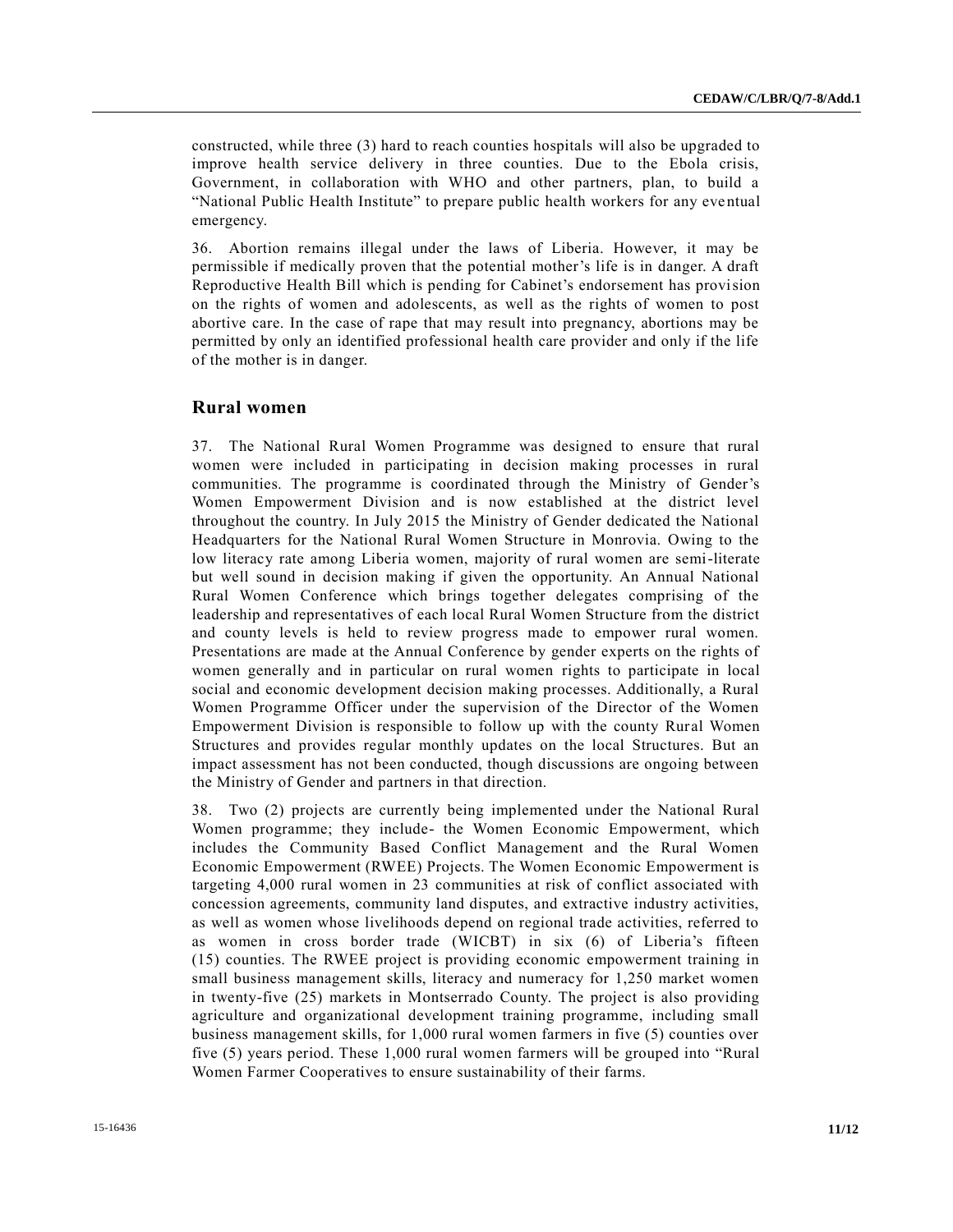constructed, while three (3) hard to reach counties hospitals will also be upgraded to improve health service delivery in three counties. Due to the Ebola crisis, Government, in collaboration with WHO and other partners, plan, to build a "National Public Health Institute" to prepare public health workers for any eve ntual emergency.

36. Abortion remains illegal under the laws of Liberia. However, it may be permissible if medically proven that the potential mother's life is in danger. A draft Reproductive Health Bill which is pending for Cabinet's endorsement has provision on the rights of women and adolescents, as well as the rights of women to post abortive care. In the case of rape that may result into pregnancy, abortions may be permitted by only an identified professional health care provider and only if the life of the mother is in danger.

#### **Rural women**

37. The National Rural Women Programme was designed to ensure that rural women were included in participating in decision making processes in rural communities. The programme is coordinated through the Ministry of Gender's Women Empowerment Division and is now established at the district level throughout the country. In July 2015 the Ministry of Gender dedicated the National Headquarters for the National Rural Women Structure in Monrovia. Owing to the low literacy rate among Liberia women, majority of rural women are semi-literate but well sound in decision making if given the opportunity. An Annual National Rural Women Conference which brings together delegates comprising of the leadership and representatives of each local Rural Women Structure from the district and county levels is held to review progress made to empower rural women. Presentations are made at the Annual Conference by gender experts on the rights of women generally and in particular on rural women rights to participate in local social and economic development decision making processes. Additionally, a Rural Women Programme Officer under the supervision of the Director of the Women Empowerment Division is responsible to follow up with the county Rural Women Structures and provides regular monthly updates on the local Structures. But an impact assessment has not been conducted, though discussions are ongoing between the Ministry of Gender and partners in that direction.

38. Two (2) projects are currently being implemented under the National Rural Women programme; they include- the Women Economic Empowerment, which includes the Community Based Conflict Management and the Rural Women Economic Empowerment (RWEE) Projects. The Women Economic Empowerment is targeting 4,000 rural women in 23 communities at risk of conflict associated with concession agreements, community land disputes, and extractive industry activities, as well as women whose livelihoods depend on regional trade activities, referred to as women in cross border trade (WICBT) in six (6) of Liberia's fifteen (15) counties. The RWEE project is providing economic empowerment training in small business management skills, literacy and numeracy for 1,250 market women in twenty-five (25) markets in Montserrado County. The project is also providing agriculture and organizational development training programme, including small business management skills, for 1,000 rural women farmers in five (5) counties over five (5) years period. These 1,000 rural women farmers will be grouped into "Rural Women Farmer Cooperatives to ensure sustainability of their farms.